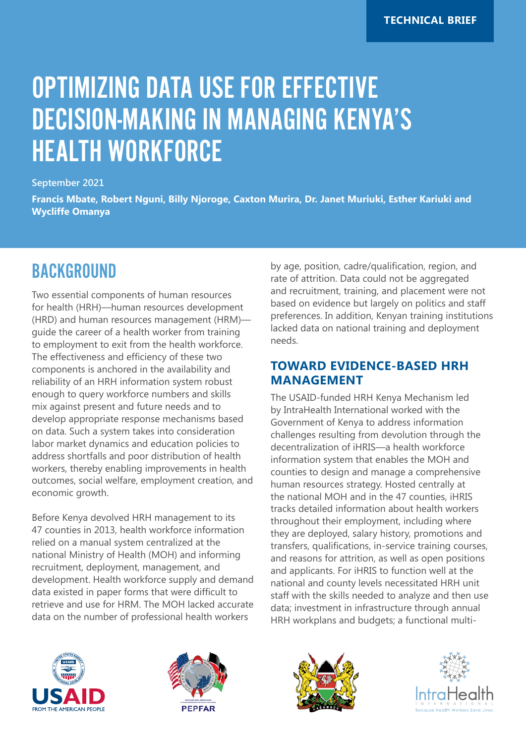# OPTIMIZING DATA USE FOR EFFECTIVE DECISION-MAKING IN MANAGING KENYA'S HEALTH WORKFORCE

#### **September 2021**

**Francis Mbate, Robert Nguni, Billy Njoroge, Caxton Murira, Dr. Janet Muriuki, Esther Kariuki and Wycliffe Omanya**

### BACKGROUND

Two essential components of human resources for health (HRH)—human resources development (HRD) and human resources management (HRM) guide the career of a health worker from training to employment to exit from the health workforce. The effectiveness and efficiency of these two components is anchored in the availability and reliability of an HRH information system robust enough to query workforce numbers and skills mix against present and future needs and to develop appropriate response mechanisms based on data. Such a system takes into consideration labor market dynamics and education policies to address shortfalls and poor distribution of health workers, thereby enabling improvements in health outcomes, social welfare, employment creation, and economic growth.

Before Kenya devolved HRH management to its 47 counties in 2013, health workforce information relied on a manual system centralized at the national Ministry of Health (MOH) and informing recruitment, deployment, management, and development. Health workforce supply and demand data existed in paper forms that were difficult to retrieve and use for HRM. The MOH lacked accurate data on the number of professional health workers

by age, position, cadre/qualification, region, and rate of attrition. Data could not be aggregated and recruitment, training, and placement were not based on evidence but largely on politics and staff preferences. In addition, Kenyan training institutions lacked data on national training and deployment needs.

#### **TOWARD EVIDENCE-BASED HRH MANAGEMENT**

The USAID-funded HRH Kenya Mechanism led by IntraHealth International worked with the Government of Kenya to address information challenges resulting from devolution through the decentralization of iHRIS—a health workforce information system that enables the MOH and counties to design and manage a comprehensive human resources strategy. Hosted centrally at the national MOH and in the 47 counties, iHRIS tracks detailed information about health workers throughout their employment, including where they are deployed, salary history, promotions and transfers, qualifications, in-service training courses, and reasons for attrition, as well as open positions and applicants. For iHRIS to function well at the national and county levels necessitated HRH unit staff with the skills needed to analyze and then use data; investment in infrastructure through annual HRH workplans and budgets; a functional multi-







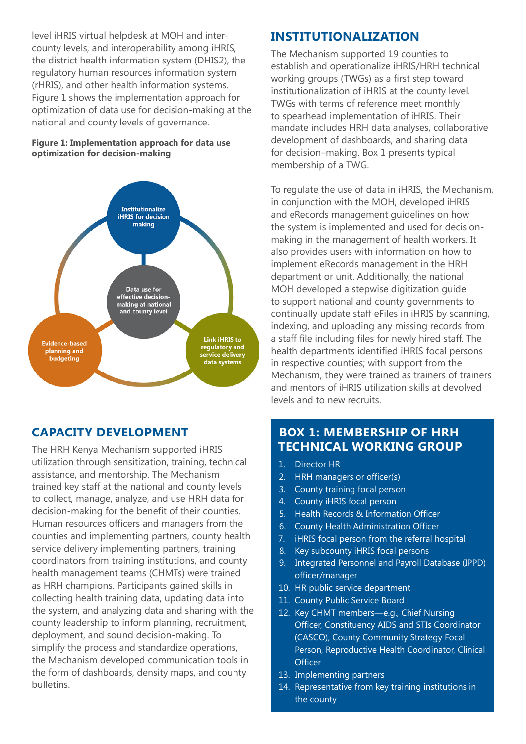level iHRIS virtual helpdesk at MOH and intercounty levels, and interoperability among iHRIS, the district health information system (DHIS2), the regulatory human resources information system (rHRIS), and other health information systems. Figure 1 shows the implementation approach for optimization of data use for decision-making at the national and county levels of governance.

#### **Figure 1: Implementation approach for data use optimization for decision-making**



### **CAPACITY DEVELOPMENT**

The HRH Kenya Mechanism supported iHRIS utilization through sensitization, training, technical assistance, and mentorship. The Mechanism trained key staff at the national and county levels to collect, manage, analyze, and use HRH data for decision-making for the benefit of their counties. Human resources officers and managers from the counties and implementing partners, county health service delivery implementing partners, training coordinators from training institutions, and county health management teams (CHMTs) were trained as HRH champions. Participants gained skills in collecting health training data, updating data into the system, and analyzing data and sharing with the county leadership to inform planning, recruitment, deployment, and sound decision-making. To simplify the process and standardize operations, the Mechanism developed communication tools in the form of dashboards, density maps, and county bulletins.

#### **INSTITUTIONALIZATION**

The Mechanism supported 19 counties to establish and operationalize iHRIS/HRH technical working groups (TWGs) as a first step toward institutionalization of iHRIS at the county level. TWGs with terms of reference meet monthly to spearhead implementation of iHRIS. Their mandate includes HRH data analyses, collaborative development of dashboards, and sharing data for decision–making. Box 1 presents typical membership of a TWG.

To regulate the use of data in iHRIS, the Mechanism, in conjunction with the MOH, developed iHRIS and eRecords management guidelines on how the system is implemented and used for decisionmaking in the management of health workers. It also provides users with information on how to implement eRecords management in the HRH department or unit. Additionally, the national MOH developed a stepwise digitization guide to support national and county governments to continually update staff eFiles in iHRIS by scanning, indexing, and uploading any missing records from a staff file including files for newly hired staff. The health departments identified iHRIS focal persons in respective counties; with support from the Mechanism, they were trained as trainers of trainers and mentors of iHRIS utilization skills at devolved levels and to new recruits.

#### **BOX 1: MEMBERSHIP OF HRH TECHNICAL WORKING GROUP**

- 1. Director HR
- 2. HRH managers or officer(s)
- 3. County training focal person
- 4. County iHRIS focal person
- 5. Health Records & Information Officer
- 6. County Health Administration Officer
- 7. iHRIS focal person from the referral hospital
- 8. Key subcounty iHRIS focal persons
- 9. Integrated Personnel and Payroll Database (IPPD) officer/manager
- 10. HR public service department
- 11. County Public Service Board
- 12. Key CHMT members—e.g., Chief Nursing Officer, Constituency AIDS and STIs Coordinator (CASCO), County Community Strategy Focal Person, Reproductive Health Coordinator, Clinical **Officer**
- 13. Implementing partners
- 14. Representative from key training institutions in the county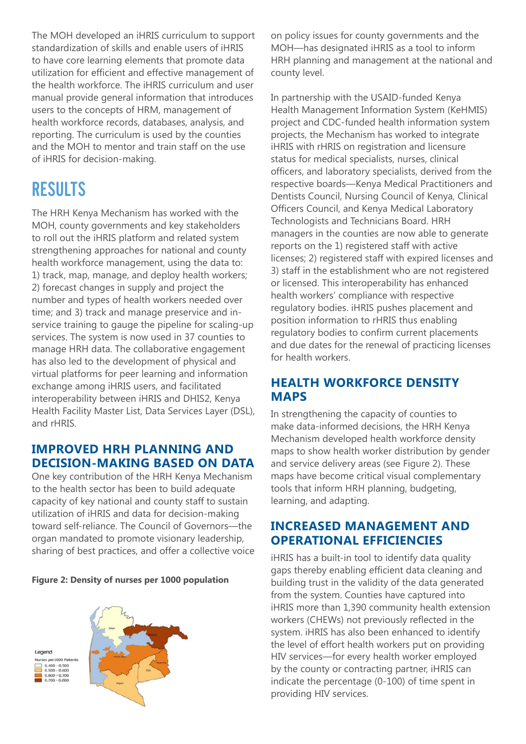The MOH developed an iHRIS curriculum to support standardization of skills and enable users of iHRIS to have core learning elements that promote data utilization for efficient and effective management of the health workforce. The iHRIS curriculum and user manual provide general information that introduces users to the concepts of HRM, management of health workforce records, databases, analysis, and reporting. The curriculum is used by the counties and the MOH to mentor and train staff on the use of iHRIS for decision-making.

# **RESULTS**

The HRH Kenya Mechanism has worked with the MOH, county governments and key stakeholders to roll out the iHRIS platform and related system strengthening approaches for national and county health workforce management, using the data to: 1) track, map, manage, and deploy health workers; 2) forecast changes in supply and project the number and types of health workers needed over time; and 3) track and manage preservice and inservice training to gauge the pipeline for scaling-up services. The system is now used in 37 counties to manage HRH data. The collaborative engagement has also led to the development of physical and virtual platforms for peer learning and information exchange among iHRIS users, and facilitated interoperability between iHRIS and DHIS2, Kenya Health Facility Master List, Data Services Layer (DSL), and rHRIS.

#### **IMPROVED HRH PLANNING AND DECISION-MAKING BASED ON DATA**

One key contribution of the HRH Kenya Mechanism to the health sector has been to build adequate capacity of key national and county staff to sustain utilization of iHRIS and data for decision-making toward self-reliance. The Council of Governors—the organ mandated to promote visionary leadership, sharing of best practices, and offer a collective voice





on policy issues for county governments and the MOH—has designated iHRIS as a tool to inform HRH planning and management at the national and county level.

In partnership with the USAID-funded Kenya Health Management Information System (KeHMIS) project and CDC-funded health information system projects, the Mechanism has worked to integrate iHRIS with rHRIS on registration and licensure status for medical specialists, nurses, clinical officers, and laboratory specialists, derived from the respective boards—Kenya Medical Practitioners and Dentists Council, Nursing Council of Kenya, Clinical Officers Council, and Kenya Medical Laboratory Technologists and Technicians Board. HRH managers in the counties are now able to generate reports on the 1) registered staff with active licenses; 2) registered staff with expired licenses and 3) staff in the establishment who are not registered or licensed. This interoperability has enhanced health workers' compliance with respective regulatory bodies. iHRIS pushes placement and position information to rHRIS thus enabling regulatory bodies to confirm current placements and due dates for the renewal of practicing licenses for health workers.

### **HEALTH WORKFORCE DENSITY MAPS**

In strengthening the capacity of counties to make data-informed decisions, the HRH Kenya Mechanism developed health workforce density maps to show health worker distribution by gender and service delivery areas (see Figure 2). These maps have become critical visual complementary tools that inform HRH planning, budgeting, learning, and adapting.

#### **INCREASED MANAGEMENT AND OPERATIONAL EFFICIENCIES**

iHRIS has a built-in tool to identify data quality gaps thereby enabling efficient data cleaning and building trust in the validity of the data generated from the system. Counties have captured into iHRIS more than 1,390 community health extension workers (CHEWs) not previously reflected in the system. iHRIS has also been enhanced to identify the level of effort health workers put on providing HIV services—for every health worker employed by the county or contracting partner, iHRIS can indicate the percentage (0-100) of time spent in providing HIV services.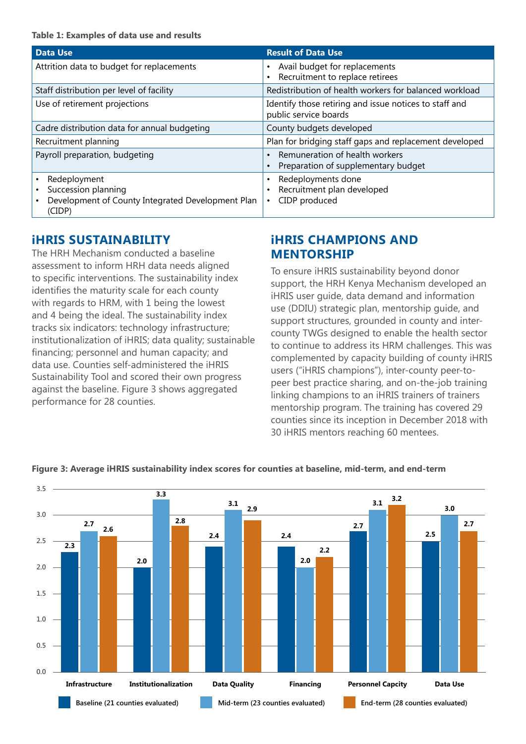| <b>Data Use</b>                                                                                    | <b>Result of Data Use</b>                                                       |
|----------------------------------------------------------------------------------------------------|---------------------------------------------------------------------------------|
| Attrition data to budget for replacements                                                          | Avail budget for replacements<br>Recruitment to replace retirees                |
| Staff distribution per level of facility                                                           | Redistribution of health workers for balanced workload                          |
| Use of retirement projections                                                                      | Identify those retiring and issue notices to staff and<br>public service boards |
| Cadre distribution data for annual budgeting                                                       | County budgets developed                                                        |
| Recruitment planning                                                                               | Plan for bridging staff gaps and replacement developed                          |
| Payroll preparation, budgeting                                                                     | Remuneration of health workers<br>Preparation of supplementary budget           |
| Redeployment<br>Succession planning<br>Development of County Integrated Development Plan<br>(CIDP) | Redeployments done<br>Recruitment plan developed<br>CIDP produced<br>$\bullet$  |

#### **iHRIS SUSTAINABILITY**

The HRH Mechanism conducted a baseline assessment to inform HRH data needs aligned to specific interventions. The sustainability index identifies the maturity scale for each county with regards to HRM, with 1 being the lowest and 4 being the ideal. The sustainability index tracks six indicators: technology infrastructure; institutionalization of iHRIS; data quality; sustainable financing; personnel and human capacity; and data use. Counties self-administered the iHRIS Sustainability Tool and scored their own progress against the baseline. Figure 3 shows aggregated performance for 28 counties.

#### **iHRIS CHAMPIONS AND MENTORSHIP**

To ensure iHRIS sustainability beyond donor support, the HRH Kenya Mechanism developed an iHRIS user guide, data demand and information use (DDIU) strategic plan, mentorship guide, and support structures, grounded in county and intercounty TWGs designed to enable the health sector to continue to address its HRM challenges. This was complemented by capacity building of county iHRIS users ("iHRIS champions"), inter-county peer-topeer best practice sharing, and on-the-job training linking champions to an iHRIS trainers of trainers mentorship program. The training has covered 29 counties since its inception in December 2018 with 30 iHRIS mentors reaching 60 mentees.



#### **Figure 3: Average iHRIS sustainability index scores for counties at baseline, mid-term, and end-term**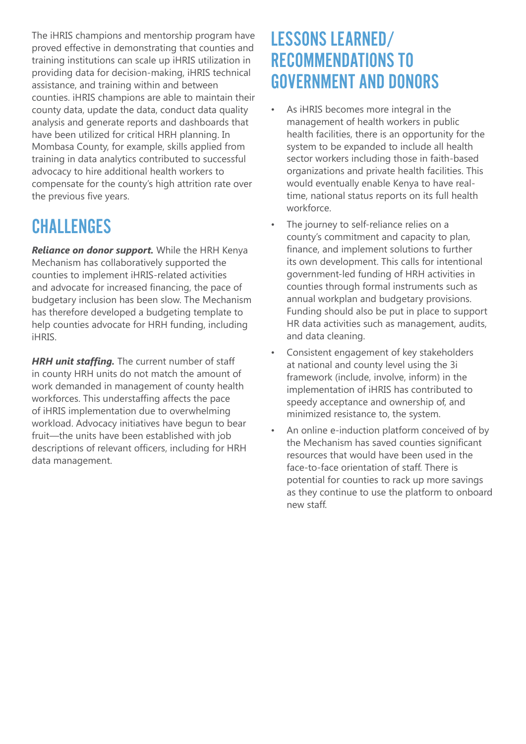The iHRIS champions and mentorship program have proved effective in demonstrating that counties and training institutions can scale up iHRIS utilization in providing data for decision-making, iHRIS technical assistance, and training within and between counties. iHRIS champions are able to maintain their county data, update the data, conduct data quality analysis and generate reports and dashboards that have been utilized for critical HRH planning. In Mombasa County, for example, skills applied from training in data analytics contributed to successful advocacy to hire additional health workers to compensate for the county's high attrition rate over the previous five years.

# **CHALLENGES**

*Reliance on donor support.* While the HRH Kenya Mechanism has collaboratively supported the counties to implement iHRIS-related activities and advocate for increased financing, the pace of budgetary inclusion has been slow. The Mechanism has therefore developed a budgeting template to help counties advocate for HRH funding, including iHRIS.

**HRH unit staffing.** The current number of staff in county HRH units do not match the amount of work demanded in management of county health workforces. This understaffing affects the pace of iHRIS implementation due to overwhelming workload. Advocacy initiatives have begun to bear fruit—the units have been established with job descriptions of relevant officers, including for HRH data management.

### LESSONS LEARNED/ RECOMMENDATIONS TO GOVERNMENT AND DONORS

- As iHRIS becomes more integral in the management of health workers in public health facilities, there is an opportunity for the system to be expanded to include all health sector workers including those in faith-based organizations and private health facilities. This would eventually enable Kenya to have realtime, national status reports on its full health workforce.
- The journey to self-reliance relies on a county's commitment and capacity to plan, finance, and implement solutions to further its own development. This calls for intentional government-led funding of HRH activities in counties through formal instruments such as annual workplan and budgetary provisions. Funding should also be put in place to support HR data activities such as management, audits, and data cleaning.
- Consistent engagement of key stakeholders at national and county level using the 3i framework (include, involve, inform) in the implementation of iHRIS has contributed to speedy acceptance and ownership of, and minimized resistance to, the system.
- An online e-induction platform conceived of by the Mechanism has saved counties significant resources that would have been used in the face-to-face orientation of staff. There is potential for counties to rack up more savings as they continue to use the platform to onboard new staff.